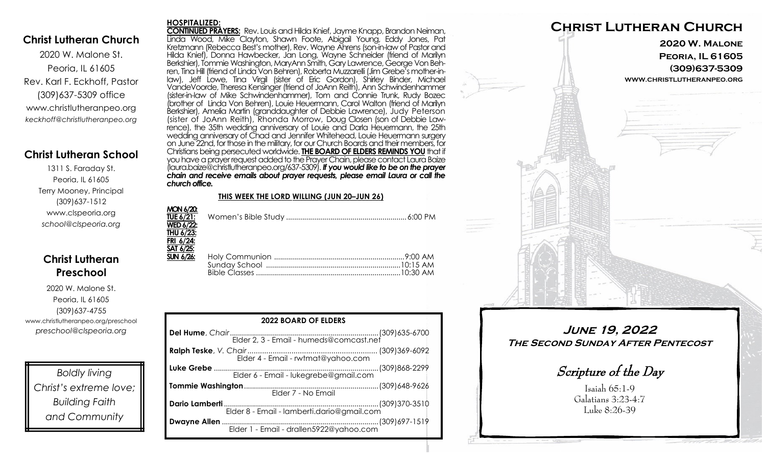## **Christ Lutheran Church**

2020 W. Malone St. Peoria, IL 61605 Rev. Karl F. Eckhoff, Pastor (309)637-5309 office www.christlutheranpeo.org *keckhoff@christlutheranpeo.org*

# **Christ Lutheran School**

1311 S. Faraday St. Peoria, IL 61605 Terry Mooney, Principal (309)637-1512 www.clspeoria.org *school@clspeoria.org*

# **Christ Lutheran Preschool**

2020 W. Malone St. Peoria, IL 61605 (309)637-4755 www.christlutheranpeo.org/preschool *preschool@clspeoria.org*

*Boldly living Christ's extreme love; Building Faith and Community*

#### **HOSPITALIZED:**

**CONTINUED PRAYERS:** Rev. Louis and Hilda Knief, Jayme Knapp, Brandon Neiman, Linda Wood, Mike Clayton, Shawn Foote, Abigail Young, Eddy Jones, Pat Kretzmann (Rebecca Best's mother), Rev. Wayne Ahrens (son-in-law of Pastor and Hilda Knief), Donna Hawbecker, Jan Long, Wayne Schneider (friend of Marilyn Berkshier), Tommie Washington, MaryAnn Smith, Gary Lawrence, George Von Behren, Tina Hill (friend of Linda Von Behren), Roberta Muzzarelli (Jim Grebe's mother-inlaw), Jeff Lowe, Tina Virgil (sister of Eric Gordon), Shirley Binder, Michael VandeVoorde, Theresa Kensinger (friend of JoAnn Reith), Ann Schwindenhammer (sister-in-law of Mike Schwindenhammer), Tom and Connie Trunk, Rudy Bozec (brother of Linda Von Behren), Louie Heuermann, Carol Walton (friend of Marilyn Berkshier), Amelia Martin (granddaughter of Debbie Lawrence), Judy Peterson (sister of JoAnn Reith), Rhonda Morrow, Doug Closen (son of Debbie Lawrence), the 35th wedding anniversary of Louie and Darla Heuermann, the 25th wedding anniversary of Chad and Jennifer Whitehead, Louie Heuermann surgery on June 22nd, for those in the military, for our Church Boards and their members, for Christians being persecuted worldwide. **THE BOARD OF ELDERS REMINDS YOU** that if you have a prayer request added to the Prayer Chain, please contact Laura Baize (laura.baize@christlutheranpeo.org/637-5309). *If you would like to be on the prayer chain and receive emails about prayer requests, please email Laura or call the church office.*

### **THIS WEEK THE LORD WILLING (JUN 20–JUN 26)**

| MON 6/20:<br><b>WED 6/22:</b><br>THU 6/23:<br>FRI 6/24:<br>SAT 6/25: |  |
|----------------------------------------------------------------------|--|
| $SUN 6/26$ :                                                         |  |

| <b>2022 BOARD OF ELDERS</b> |  |  |  |
|-----------------------------|--|--|--|
|                             |  |  |  |
|                             |  |  |  |
|                             |  |  |  |
| Elder 7 - No Email          |  |  |  |
|                             |  |  |  |
|                             |  |  |  |



**June 19, 2022 The Second Sunday After Pentecost**

Scripture of the Day

Isaiah 65:1-9 Galatians 3:23-4:7 Luke 8:26-39